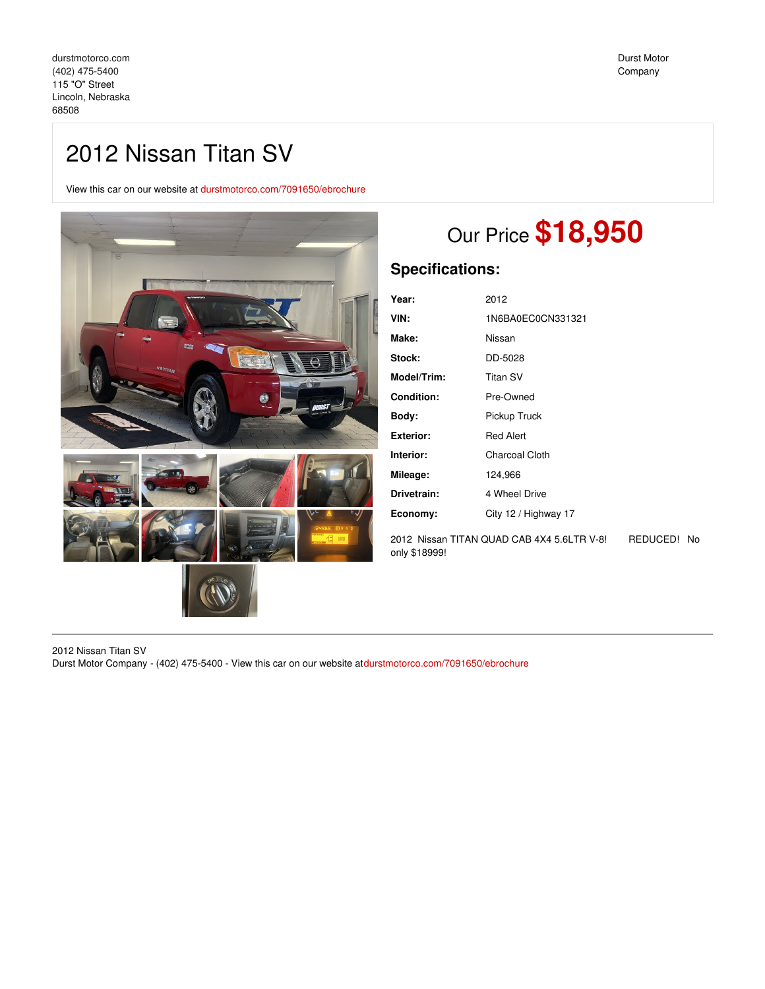# 2012 Nissan Titan SV

View this car on our website at [durstmotorco.com/7091650/ebrochure](https://durstmotorco.com/vehicle/7091650/2012-nissan-titan-sv-lincoln-nebraska-68508/7091650/ebrochure)



# Our Price **\$18,950**

## **Specifications:**

| Year:             | 2012                 |
|-------------------|----------------------|
| VIN:              | 1N6BA0EC0CN331321    |
| Make:             | Nissan               |
| Stock:            | DD-5028              |
| Model/Trim:       | <b>Titan SV</b>      |
| <b>Condition:</b> | Pre-Owned            |
| Body:             | Pickup Truck         |
| <b>Exterior:</b>  | <b>Red Alert</b>     |
| Interior:         | Charcoal Cloth       |
| Mileage:          | 124,966              |
| Drivetrain:       | 4 Wheel Drive        |
| Economy:          | City 12 / Highway 17 |
|                   |                      |

2012 Nissan TITAN QUAD CAB 4X4 5.6LTR V-8! REDUCED! No only \$18999!

2012 Nissan Titan SV Durst Motor Company - (402) 475-5400 - View this car on our website at[durstmotorco.com/7091650/ebrochure](https://durstmotorco.com/vehicle/7091650/2012-nissan-titan-sv-lincoln-nebraska-68508/7091650/ebrochure)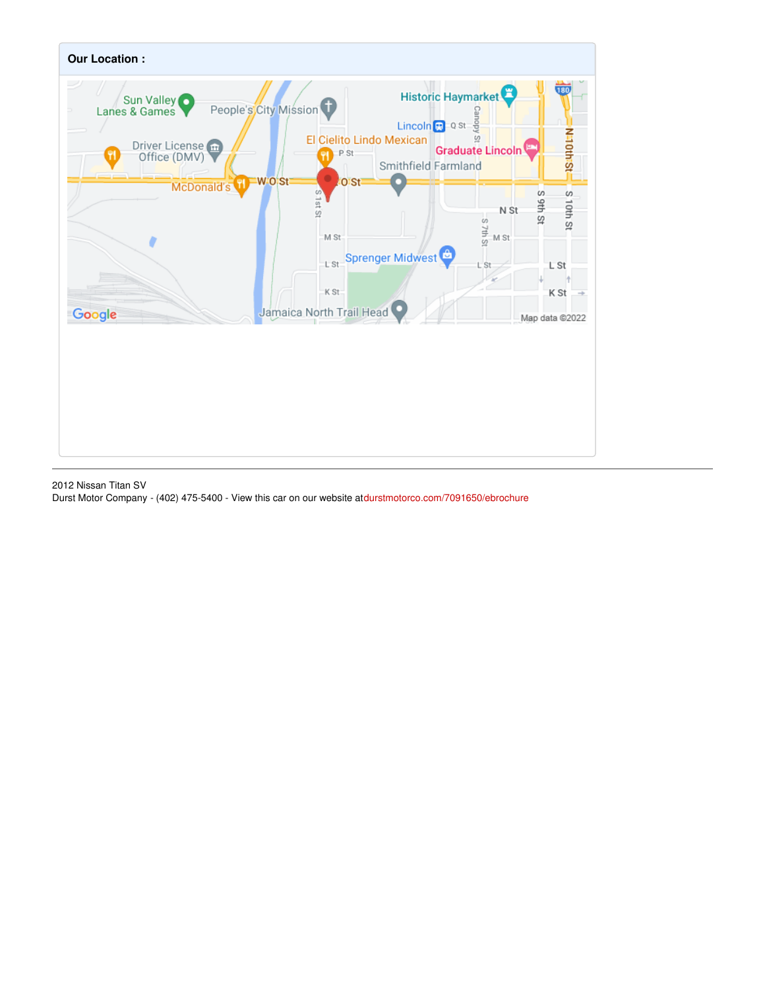

2012 Nissan Titan SV Durst Motor Company - (402) 475-5400 - View this car on our website at[durstmotorco.com/7091650/ebrochure](https://durstmotorco.com/vehicle/7091650/2012-nissan-titan-sv-lincoln-nebraska-68508/7091650/ebrochure)